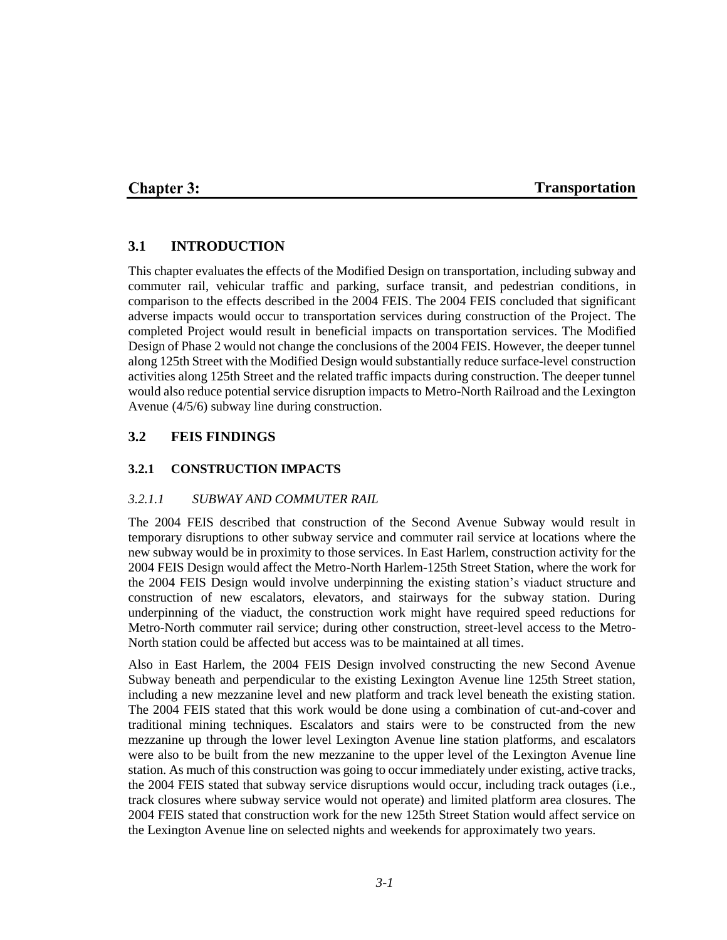## **Chapter 3:**

#### **Transportation**

### **3.1 INTRODUCTION**

This chapter evaluates the effects of the Modified Design on transportation, including subway and commuter rail, vehicular traffic and parking, surface transit, and pedestrian conditions, in comparison to the effects described in the 2004 FEIS. The 2004 FEIS concluded that significant adverse impacts would occur to transportation services during construction of the Project. The completed Project would result in beneficial impacts on transportation services. The Modified Design of Phase 2 would not change the conclusions of the 2004 FEIS. However, the deeper tunnel along 125th Street with the Modified Design would substantially reduce surface-level construction activities along 125th Street and the related traffic impacts during construction. The deeper tunnel would also reduce potential service disruption impacts to Metro-North Railroad and the Lexington Avenue (4/5/6) subway line during construction.

### **3.2 FEIS FINDINGS**

### **3.2.1 CONSTRUCTION IMPACTS**

#### *3.2.1.1 SUBWAY AND COMMUTER RAIL*

The 2004 FEIS described that construction of the Second Avenue Subway would result in temporary disruptions to other subway service and commuter rail service at locations where the new subway would be in proximity to those services. In East Harlem, construction activity for the 2004 FEIS Design would affect the Metro-North Harlem-125th Street Station, where the work for the 2004 FEIS Design would involve underpinning the existing station's viaduct structure and construction of new escalators, elevators, and stairways for the subway station. During underpinning of the viaduct, the construction work might have required speed reductions for Metro-North commuter rail service; during other construction, street-level access to the Metro-North station could be affected but access was to be maintained at all times.

Also in East Harlem, the 2004 FEIS Design involved constructing the new Second Avenue Subway beneath and perpendicular to the existing Lexington Avenue line 125th Street station, including a new mezzanine level and new platform and track level beneath the existing station. The 2004 FEIS stated that this work would be done using a combination of cut-and-cover and traditional mining techniques. Escalators and stairs were to be constructed from the new mezzanine up through the lower level Lexington Avenue line station platforms, and escalators were also to be built from the new mezzanine to the upper level of the Lexington Avenue line station. As much of this construction was going to occur immediately under existing, active tracks, the 2004 FEIS stated that subway service disruptions would occur, including track outages (i.e., track closures where subway service would not operate) and limited platform area closures. The 2004 FEIS stated that construction work for the new 125th Street Station would affect service on the Lexington Avenue line on selected nights and weekends for approximately two years.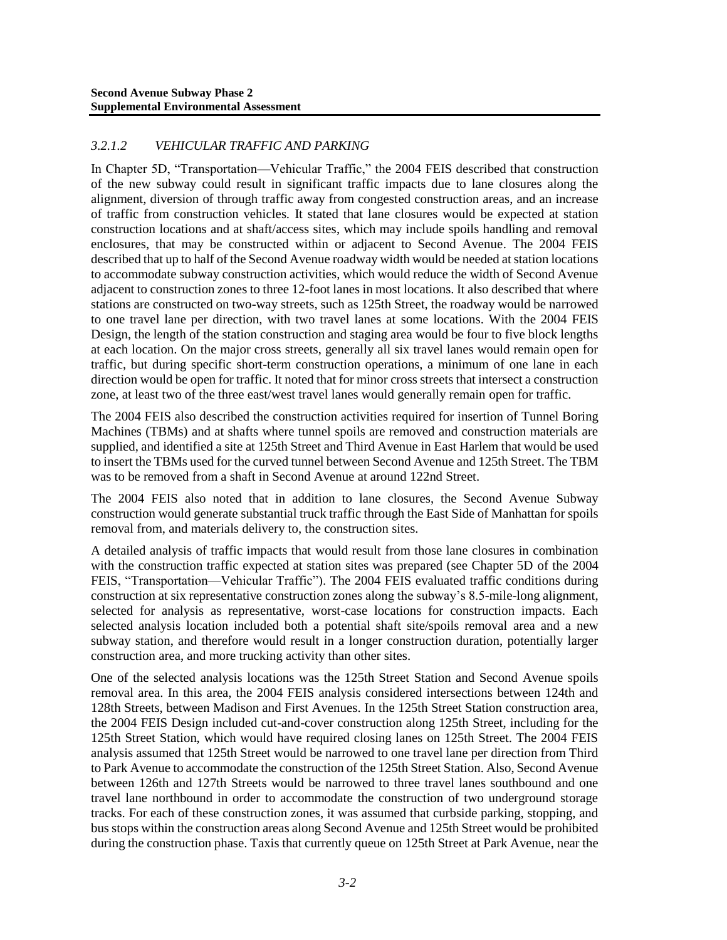### *3.2.1.2 VEHICULAR TRAFFIC AND PARKING*

In Chapter 5D, "Transportation—Vehicular Traffic," the 2004 FEIS described that construction of the new subway could result in significant traffic impacts due to lane closures along the alignment, diversion of through traffic away from congested construction areas, and an increase of traffic from construction vehicles. It stated that lane closures would be expected at station construction locations and at shaft/access sites, which may include spoils handling and removal enclosures, that may be constructed within or adjacent to Second Avenue. The 2004 FEIS described that up to half of the Second Avenue roadway width would be needed at station locations to accommodate subway construction activities, which would reduce the width of Second Avenue adjacent to construction zones to three 12-foot lanes in most locations. It also described that where stations are constructed on two-way streets, such as 125th Street, the roadway would be narrowed to one travel lane per direction, with two travel lanes at some locations. With the 2004 FEIS Design, the length of the station construction and staging area would be four to five block lengths at each location. On the major cross streets, generally all six travel lanes would remain open for traffic, but during specific short-term construction operations, a minimum of one lane in each direction would be open for traffic. It noted that for minor cross streets that intersect a construction zone, at least two of the three east/west travel lanes would generally remain open for traffic.

The 2004 FEIS also described the construction activities required for insertion of Tunnel Boring Machines (TBMs) and at shafts where tunnel spoils are removed and construction materials are supplied, and identified a site at 125th Street and Third Avenue in East Harlem that would be used to insert the TBMs used for the curved tunnel between Second Avenue and 125th Street. The TBM was to be removed from a shaft in Second Avenue at around 122nd Street.

The 2004 FEIS also noted that in addition to lane closures, the Second Avenue Subway construction would generate substantial truck traffic through the East Side of Manhattan for spoils removal from, and materials delivery to, the construction sites.

A detailed analysis of traffic impacts that would result from those lane closures in combination with the construction traffic expected at station sites was prepared (see Chapter 5D of the 2004 FEIS, "Transportation—Vehicular Traffic"). The 2004 FEIS evaluated traffic conditions during construction at six representative construction zones along the subway's 8.5-mile-long alignment, selected for analysis as representative, worst-case locations for construction impacts. Each selected analysis location included both a potential shaft site/spoils removal area and a new subway station, and therefore would result in a longer construction duration, potentially larger construction area, and more trucking activity than other sites.

One of the selected analysis locations was the 125th Street Station and Second Avenue spoils removal area. In this area, the 2004 FEIS analysis considered intersections between 124th and 128th Streets, between Madison and First Avenues. In the 125th Street Station construction area, the 2004 FEIS Design included cut-and-cover construction along 125th Street, including for the 125th Street Station, which would have required closing lanes on 125th Street. The 2004 FEIS analysis assumed that 125th Street would be narrowed to one travel lane per direction from Third to Park Avenue to accommodate the construction of the 125th Street Station. Also, Second Avenue between 126th and 127th Streets would be narrowed to three travel lanes southbound and one travel lane northbound in order to accommodate the construction of two underground storage tracks. For each of these construction zones, it was assumed that curbside parking, stopping, and bus stops within the construction areas along Second Avenue and 125th Street would be prohibited during the construction phase. Taxis that currently queue on 125th Street at Park Avenue, near the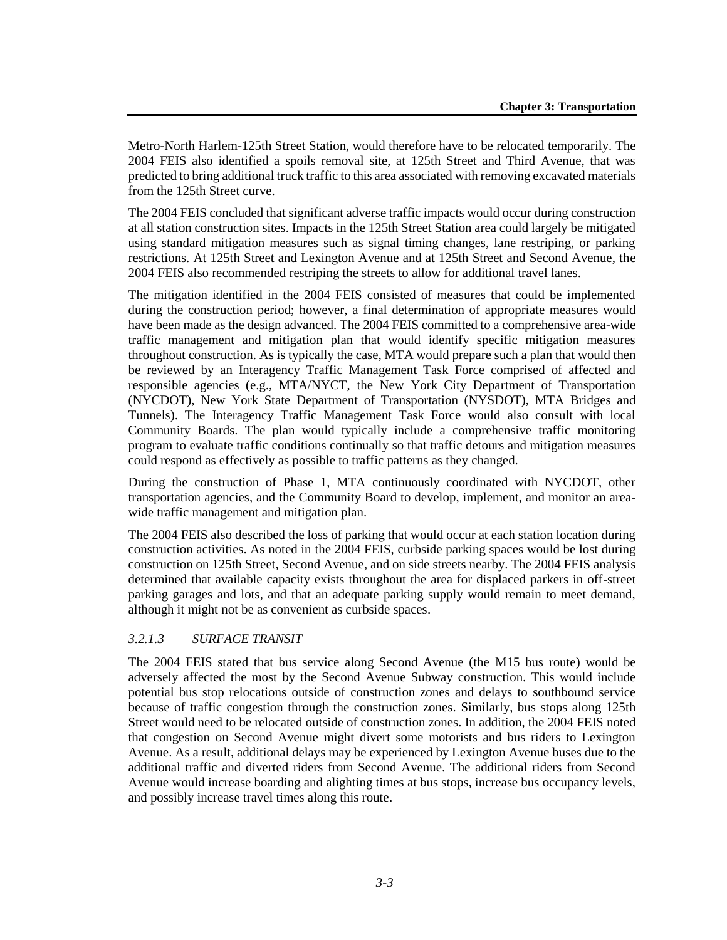Metro-North Harlem-125th Street Station, would therefore have to be relocated temporarily. The 2004 FEIS also identified a spoils removal site, at 125th Street and Third Avenue, that was predicted to bring additional truck traffic to this area associated with removing excavated materials from the 125th Street curve.

The 2004 FEIS concluded that significant adverse traffic impacts would occur during construction at all station construction sites. Impacts in the 125th Street Station area could largely be mitigated using standard mitigation measures such as signal timing changes, lane restriping, or parking restrictions. At 125th Street and Lexington Avenue and at 125th Street and Second Avenue, the 2004 FEIS also recommended restriping the streets to allow for additional travel lanes.

The mitigation identified in the 2004 FEIS consisted of measures that could be implemented during the construction period; however, a final determination of appropriate measures would have been made as the design advanced. The 2004 FEIS committed to a comprehensive area-wide traffic management and mitigation plan that would identify specific mitigation measures throughout construction. As is typically the case, MTA would prepare such a plan that would then be reviewed by an Interagency Traffic Management Task Force comprised of affected and responsible agencies (e.g., MTA/NYCT, the New York City Department of Transportation (NYCDOT), New York State Department of Transportation (NYSDOT), MTA Bridges and Tunnels). The Interagency Traffic Management Task Force would also consult with local Community Boards. The plan would typically include a comprehensive traffic monitoring program to evaluate traffic conditions continually so that traffic detours and mitigation measures could respond as effectively as possible to traffic patterns as they changed.

During the construction of Phase 1, MTA continuously coordinated with NYCDOT, other transportation agencies, and the Community Board to develop, implement, and monitor an areawide traffic management and mitigation plan.

The 2004 FEIS also described the loss of parking that would occur at each station location during construction activities. As noted in the 2004 FEIS, curbside parking spaces would be lost during construction on 125th Street, Second Avenue, and on side streets nearby. The 2004 FEIS analysis determined that available capacity exists throughout the area for displaced parkers in off-street parking garages and lots, and that an adequate parking supply would remain to meet demand, although it might not be as convenient as curbside spaces.

### *3.2.1.3 SURFACE TRANSIT*

The 2004 FEIS stated that bus service along Second Avenue (the M15 bus route) would be adversely affected the most by the Second Avenue Subway construction. This would include potential bus stop relocations outside of construction zones and delays to southbound service because of traffic congestion through the construction zones. Similarly, bus stops along 125th Street would need to be relocated outside of construction zones. In addition, the 2004 FEIS noted that congestion on Second Avenue might divert some motorists and bus riders to Lexington Avenue. As a result, additional delays may be experienced by Lexington Avenue buses due to the additional traffic and diverted riders from Second Avenue. The additional riders from Second Avenue would increase boarding and alighting times at bus stops, increase bus occupancy levels, and possibly increase travel times along this route.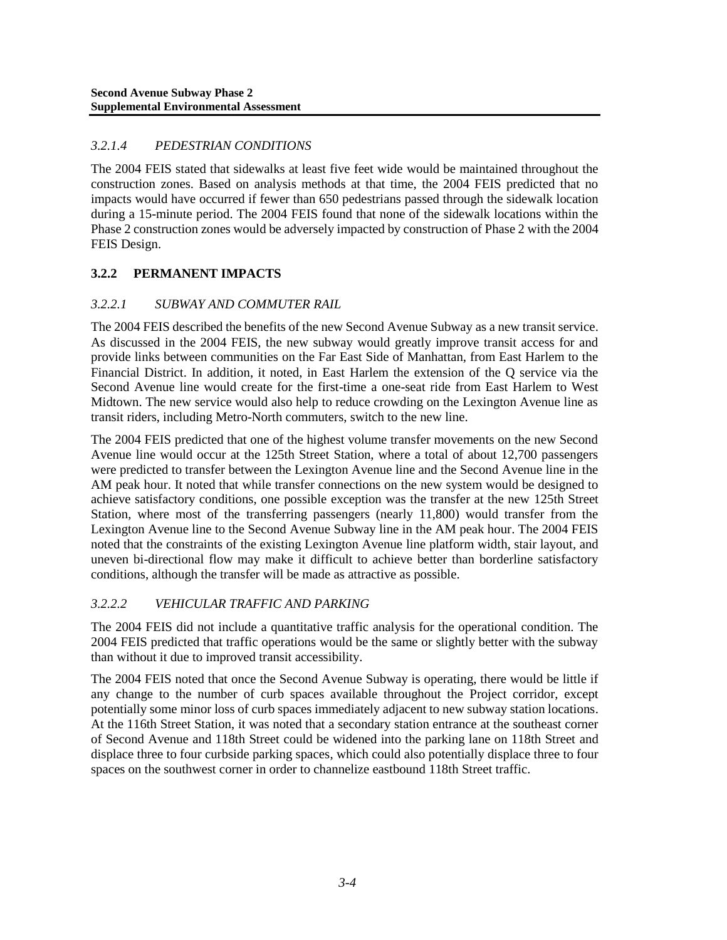# *3.2.1.4 PEDESTRIAN CONDITIONS*

The 2004 FEIS stated that sidewalks at least five feet wide would be maintained throughout the construction zones. Based on analysis methods at that time, the 2004 FEIS predicted that no impacts would have occurred if fewer than 650 pedestrians passed through the sidewalk location during a 15-minute period. The 2004 FEIS found that none of the sidewalk locations within the Phase 2 construction zones would be adversely impacted by construction of Phase 2 with the 2004 FEIS Design.

# **3.2.2 PERMANENT IMPACTS**

### *3.2.2.1 SUBWAY AND COMMUTER RAIL*

The 2004 FEIS described the benefits of the new Second Avenue Subway as a new transit service. As discussed in the 2004 FEIS, the new subway would greatly improve transit access for and provide links between communities on the Far East Side of Manhattan, from East Harlem to the Financial District. In addition, it noted, in East Harlem the extension of the Q service via the Second Avenue line would create for the first-time a one-seat ride from East Harlem to West Midtown. The new service would also help to reduce crowding on the Lexington Avenue line as transit riders, including Metro-North commuters, switch to the new line.

The 2004 FEIS predicted that one of the highest volume transfer movements on the new Second Avenue line would occur at the 125th Street Station, where a total of about 12,700 passengers were predicted to transfer between the Lexington Avenue line and the Second Avenue line in the AM peak hour. It noted that while transfer connections on the new system would be designed to achieve satisfactory conditions, one possible exception was the transfer at the new 125th Street Station, where most of the transferring passengers (nearly 11,800) would transfer from the Lexington Avenue line to the Second Avenue Subway line in the AM peak hour. The 2004 FEIS noted that the constraints of the existing Lexington Avenue line platform width, stair layout, and uneven bi-directional flow may make it difficult to achieve better than borderline satisfactory conditions, although the transfer will be made as attractive as possible.

### *3.2.2.2 VEHICULAR TRAFFIC AND PARKING*

The 2004 FEIS did not include a quantitative traffic analysis for the operational condition. The 2004 FEIS predicted that traffic operations would be the same or slightly better with the subway than without it due to improved transit accessibility.

The 2004 FEIS noted that once the Second Avenue Subway is operating, there would be little if any change to the number of curb spaces available throughout the Project corridor, except potentially some minor loss of curb spaces immediately adjacent to new subway station locations. At the 116th Street Station, it was noted that a secondary station entrance at the southeast corner of Second Avenue and 118th Street could be widened into the parking lane on 118th Street and displace three to four curbside parking spaces, which could also potentially displace three to four spaces on the southwest corner in order to channelize eastbound 118th Street traffic.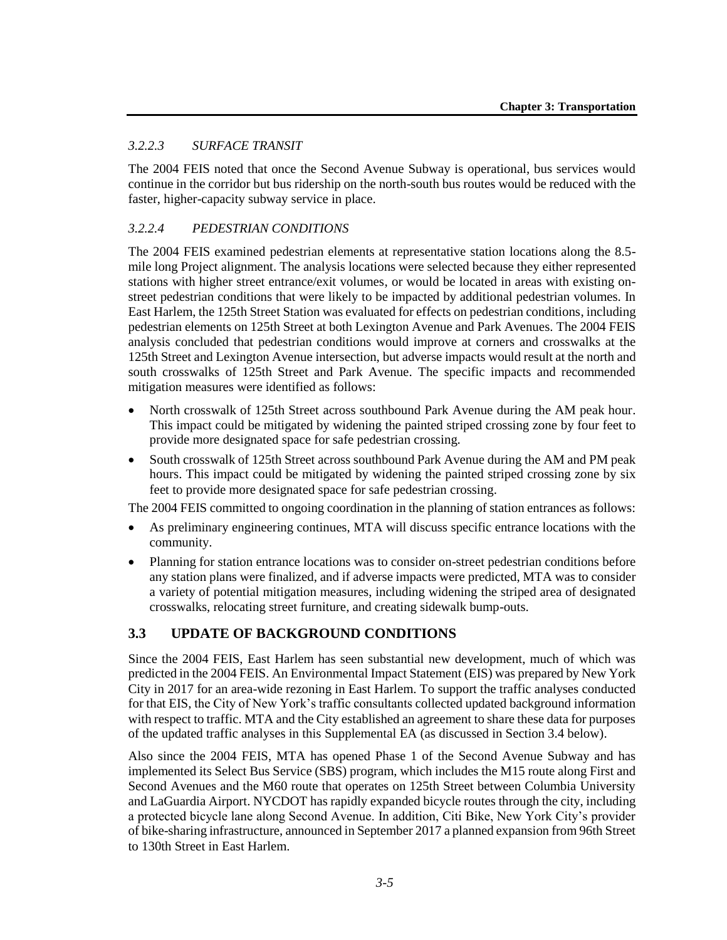### *3.2.2.3 SURFACE TRANSIT*

The 2004 FEIS noted that once the Second Avenue Subway is operational, bus services would continue in the corridor but bus ridership on the north-south bus routes would be reduced with the faster, higher-capacity subway service in place.

# *3.2.2.4 PEDESTRIAN CONDITIONS*

The 2004 FEIS examined pedestrian elements at representative station locations along the 8.5 mile long Project alignment. The analysis locations were selected because they either represented stations with higher street entrance/exit volumes, or would be located in areas with existing onstreet pedestrian conditions that were likely to be impacted by additional pedestrian volumes. In East Harlem, the 125th Street Station was evaluated for effects on pedestrian conditions, including pedestrian elements on 125th Street at both Lexington Avenue and Park Avenues. The 2004 FEIS analysis concluded that pedestrian conditions would improve at corners and crosswalks at the 125th Street and Lexington Avenue intersection, but adverse impacts would result at the north and south crosswalks of 125th Street and Park Avenue. The specific impacts and recommended mitigation measures were identified as follows:

- North crosswalk of 125th Street across southbound Park Avenue during the AM peak hour. This impact could be mitigated by widening the painted striped crossing zone by four feet to provide more designated space for safe pedestrian crossing.
- South crosswalk of 125th Street across southbound Park Avenue during the AM and PM peak hours. This impact could be mitigated by widening the painted striped crossing zone by six feet to provide more designated space for safe pedestrian crossing.

The 2004 FEIS committed to ongoing coordination in the planning of station entrances as follows:

- As preliminary engineering continues, MTA will discuss specific entrance locations with the community.
- Planning for station entrance locations was to consider on-street pedestrian conditions before any station plans were finalized, and if adverse impacts were predicted, MTA was to consider a variety of potential mitigation measures, including widening the striped area of designated crosswalks, relocating street furniture, and creating sidewalk bump-outs.

### **3.3 UPDATE OF BACKGROUND CONDITIONS**

Since the 2004 FEIS, East Harlem has seen substantial new development, much of which was predicted in the 2004 FEIS. An Environmental Impact Statement (EIS) was prepared by New York City in 2017 for an area-wide rezoning in East Harlem. To support the traffic analyses conducted for that EIS, the City of New York's traffic consultants collected updated background information with respect to traffic. MTA and the City established an agreement to share these data for purposes of the updated traffic analyses in this Supplemental EA (as discussed in Section 3.4 below).

Also since the 2004 FEIS, MTA has opened Phase 1 of the Second Avenue Subway and has implemented its Select Bus Service (SBS) program, which includes the M15 route along First and Second Avenues and the M60 route that operates on 125th Street between Columbia University and LaGuardia Airport. NYCDOT has rapidly expanded bicycle routes through the city, including a protected bicycle lane along Second Avenue. In addition, Citi Bike, New York City's provider of bike-sharing infrastructure, announced in September 2017 a planned expansion from 96th Street to 130th Street in East Harlem.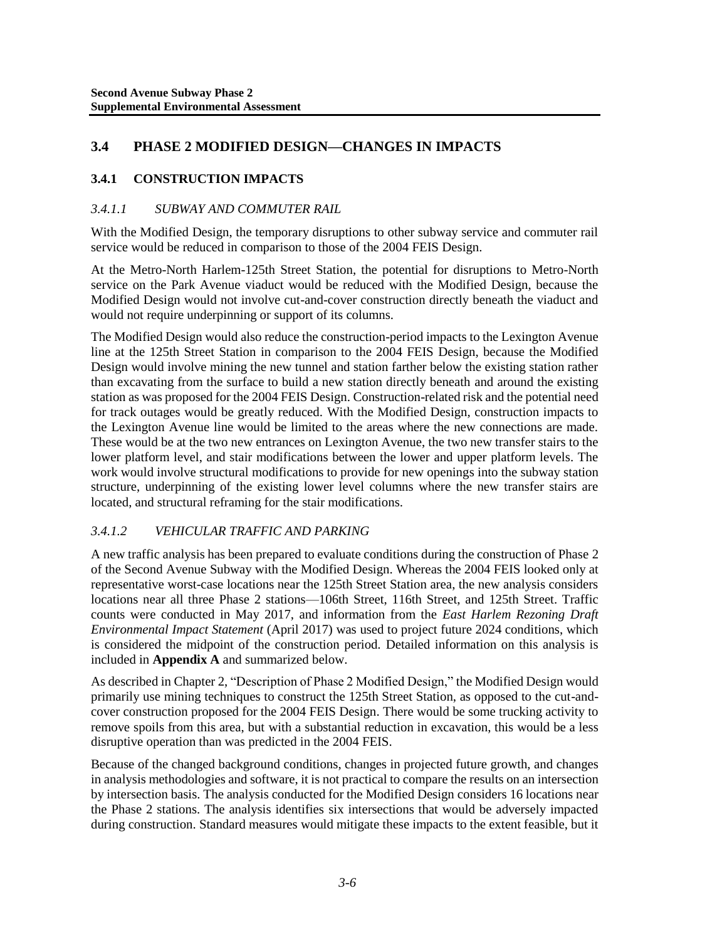# **3.4 PHASE 2 MODIFIED DESIGN—CHANGES IN IMPACTS**

# **3.4.1 CONSTRUCTION IMPACTS**

## *3.4.1.1 SUBWAY AND COMMUTER RAIL*

With the Modified Design, the temporary disruptions to other subway service and commuter rail service would be reduced in comparison to those of the 2004 FEIS Design.

At the Metro-North Harlem-125th Street Station, the potential for disruptions to Metro-North service on the Park Avenue viaduct would be reduced with the Modified Design, because the Modified Design would not involve cut-and-cover construction directly beneath the viaduct and would not require underpinning or support of its columns.

The Modified Design would also reduce the construction-period impacts to the Lexington Avenue line at the 125th Street Station in comparison to the 2004 FEIS Design, because the Modified Design would involve mining the new tunnel and station farther below the existing station rather than excavating from the surface to build a new station directly beneath and around the existing station as was proposed for the 2004 FEIS Design. Construction-related risk and the potential need for track outages would be greatly reduced. With the Modified Design, construction impacts to the Lexington Avenue line would be limited to the areas where the new connections are made. These would be at the two new entrances on Lexington Avenue, the two new transfer stairs to the lower platform level, and stair modifications between the lower and upper platform levels. The work would involve structural modifications to provide for new openings into the subway station structure, underpinning of the existing lower level columns where the new transfer stairs are located, and structural reframing for the stair modifications.

### *3.4.1.2 VEHICULAR TRAFFIC AND PARKING*

A new traffic analysis has been prepared to evaluate conditions during the construction of Phase 2 of the Second Avenue Subway with the Modified Design. Whereas the 2004 FEIS looked only at representative worst-case locations near the 125th Street Station area, the new analysis considers locations near all three Phase 2 stations—106th Street, 116th Street, and 125th Street. Traffic counts were conducted in May 2017, and information from the *East Harlem Rezoning Draft Environmental Impact Statement* (April 2017) was used to project future 2024 conditions, which is considered the midpoint of the construction period. Detailed information on this analysis is included in **Appendix A** and summarized below.

As described in Chapter 2, "Description of Phase 2 Modified Design," the Modified Design would primarily use mining techniques to construct the 125th Street Station, as opposed to the cut-andcover construction proposed for the 2004 FEIS Design. There would be some trucking activity to remove spoils from this area, but with a substantial reduction in excavation, this would be a less disruptive operation than was predicted in the 2004 FEIS.

Because of the changed background conditions, changes in projected future growth, and changes in analysis methodologies and software, it is not practical to compare the results on an intersection by intersection basis. The analysis conducted for the Modified Design considers 16 locations near the Phase 2 stations. The analysis identifies six intersections that would be adversely impacted during construction. Standard measures would mitigate these impacts to the extent feasible, but it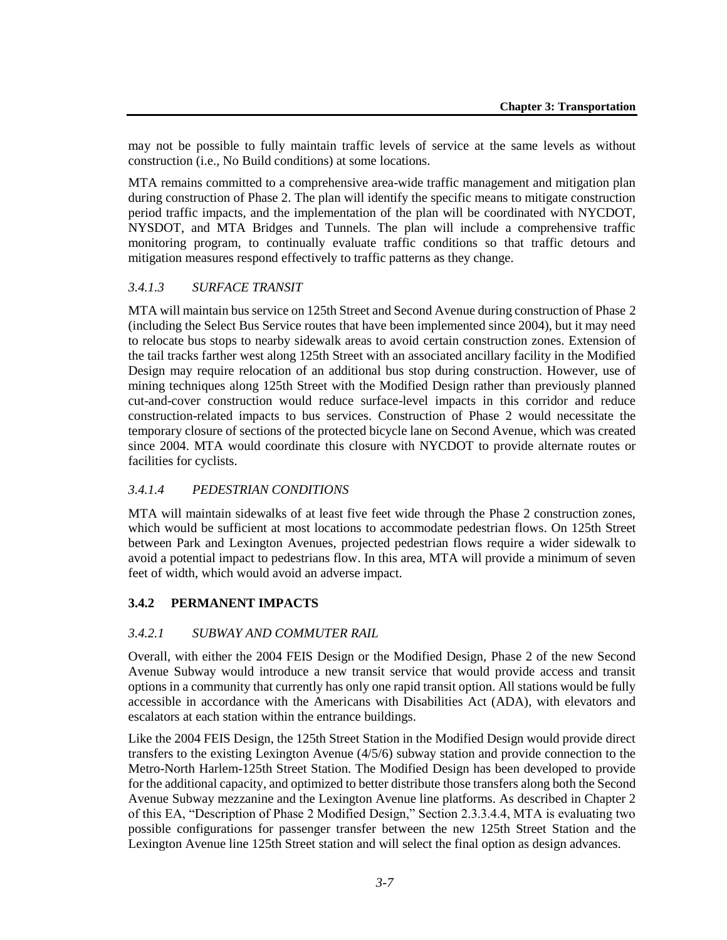may not be possible to fully maintain traffic levels of service at the same levels as without construction (i.e., No Build conditions) at some locations.

MTA remains committed to a comprehensive area-wide traffic management and mitigation plan during construction of Phase 2. The plan will identify the specific means to mitigate construction period traffic impacts, and the implementation of the plan will be coordinated with NYCDOT, NYSDOT, and MTA Bridges and Tunnels. The plan will include a comprehensive traffic monitoring program, to continually evaluate traffic conditions so that traffic detours and mitigation measures respond effectively to traffic patterns as they change.

### *3.4.1.3 SURFACE TRANSIT*

MTA will maintain bus service on 125th Street and Second Avenue during construction of Phase 2 (including the Select Bus Service routes that have been implemented since 2004), but it may need to relocate bus stops to nearby sidewalk areas to avoid certain construction zones. Extension of the tail tracks farther west along 125th Street with an associated ancillary facility in the Modified Design may require relocation of an additional bus stop during construction. However, use of mining techniques along 125th Street with the Modified Design rather than previously planned cut-and-cover construction would reduce surface-level impacts in this corridor and reduce construction-related impacts to bus services. Construction of Phase 2 would necessitate the temporary closure of sections of the protected bicycle lane on Second Avenue, which was created since 2004. MTA would coordinate this closure with NYCDOT to provide alternate routes or facilities for cyclists.

#### *3.4.1.4 PEDESTRIAN CONDITIONS*

MTA will maintain sidewalks of at least five feet wide through the Phase 2 construction zones, which would be sufficient at most locations to accommodate pedestrian flows. On 125th Street between Park and Lexington Avenues, projected pedestrian flows require a wider sidewalk to avoid a potential impact to pedestrians flow. In this area, MTA will provide a minimum of seven feet of width, which would avoid an adverse impact.

#### **3.4.2 PERMANENT IMPACTS**

#### *3.4.2.1 SUBWAY AND COMMUTER RAIL*

Overall, with either the 2004 FEIS Design or the Modified Design, Phase 2 of the new Second Avenue Subway would introduce a new transit service that would provide access and transit options in a community that currently has only one rapid transit option. All stations would be fully accessible in accordance with the Americans with Disabilities Act (ADA), with elevators and escalators at each station within the entrance buildings.

Like the 2004 FEIS Design, the 125th Street Station in the Modified Design would provide direct transfers to the existing Lexington Avenue (4/5/6) subway station and provide connection to the Metro-North Harlem-125th Street Station. The Modified Design has been developed to provide for the additional capacity, and optimized to better distribute those transfers along both the Second Avenue Subway mezzanine and the Lexington Avenue line platforms. As described in Chapter 2 of this EA, "Description of Phase 2 Modified Design," Section 2.3.3.4.4, MTA is evaluating two possible configurations for passenger transfer between the new 125th Street Station and the Lexington Avenue line 125th Street station and will select the final option as design advances.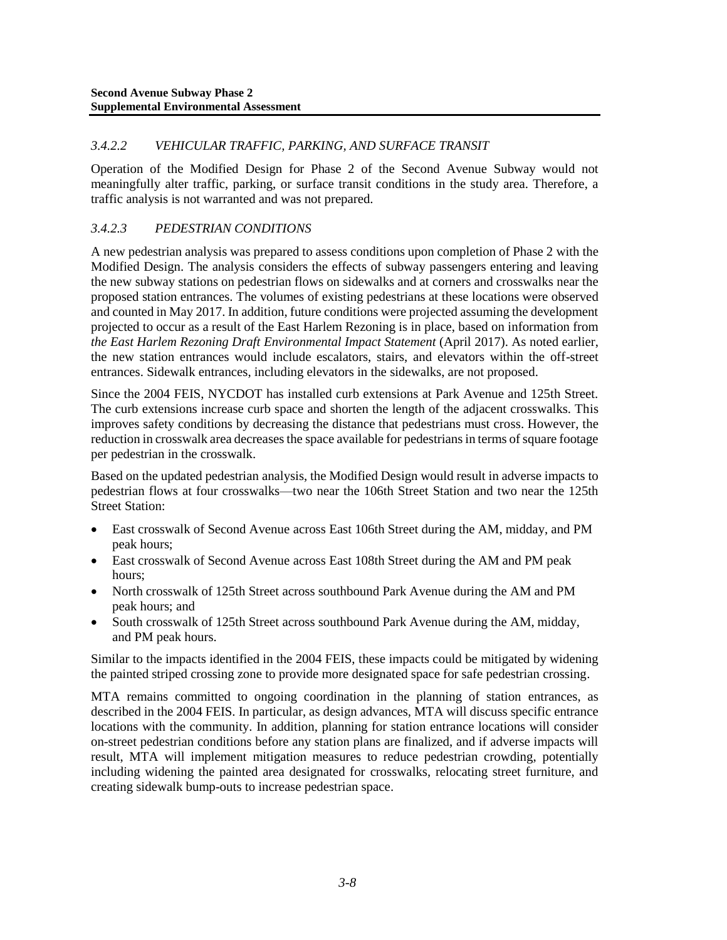### *3.4.2.2 VEHICULAR TRAFFIC, PARKING, AND SURFACE TRANSIT*

Operation of the Modified Design for Phase 2 of the Second Avenue Subway would not meaningfully alter traffic, parking, or surface transit conditions in the study area. Therefore, a traffic analysis is not warranted and was not prepared.

## *3.4.2.3 PEDESTRIAN CONDITIONS*

A new pedestrian analysis was prepared to assess conditions upon completion of Phase 2 with the Modified Design. The analysis considers the effects of subway passengers entering and leaving the new subway stations on pedestrian flows on sidewalks and at corners and crosswalks near the proposed station entrances. The volumes of existing pedestrians at these locations were observed and counted in May 2017. In addition, future conditions were projected assuming the development projected to occur as a result of the East Harlem Rezoning is in place, based on information from *the East Harlem Rezoning Draft Environmental Impact Statement* (April 2017). As noted earlier, the new station entrances would include escalators, stairs, and elevators within the off-street entrances. Sidewalk entrances, including elevators in the sidewalks, are not proposed.

Since the 2004 FEIS, NYCDOT has installed curb extensions at Park Avenue and 125th Street. The curb extensions increase curb space and shorten the length of the adjacent crosswalks. This improves safety conditions by decreasing the distance that pedestrians must cross. However, the reduction in crosswalk area decreases the space available for pedestrians in terms of square footage per pedestrian in the crosswalk.

Based on the updated pedestrian analysis, the Modified Design would result in adverse impacts to pedestrian flows at four crosswalks—two near the 106th Street Station and two near the 125th Street Station:

- East crosswalk of Second Avenue across East 106th Street during the AM, midday, and PM peak hours;
- East crosswalk of Second Avenue across East 108th Street during the AM and PM peak hours;
- North crosswalk of 125th Street across southbound Park Avenue during the AM and PM peak hours; and
- South crosswalk of 125th Street across southbound Park Avenue during the AM, midday, and PM peak hours.

Similar to the impacts identified in the 2004 FEIS, these impacts could be mitigated by widening the painted striped crossing zone to provide more designated space for safe pedestrian crossing.

MTA remains committed to ongoing coordination in the planning of station entrances, as described in the 2004 FEIS. In particular, as design advances, MTA will discuss specific entrance locations with the community. In addition, planning for station entrance locations will consider on-street pedestrian conditions before any station plans are finalized, and if adverse impacts will result, MTA will implement mitigation measures to reduce pedestrian crowding, potentially including widening the painted area designated for crosswalks, relocating street furniture, and creating sidewalk bump-outs to increase pedestrian space.